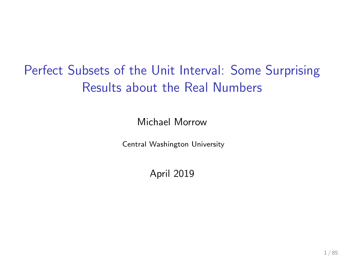# Perfect Subsets of the Unit Interval: Some Surprising Results about the Real Numbers

Michael Morrow

Central Washington University

April 2019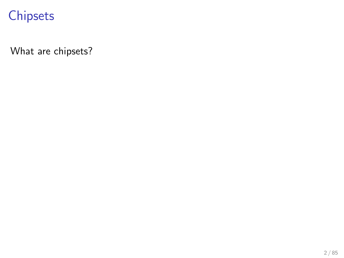What are chipsets?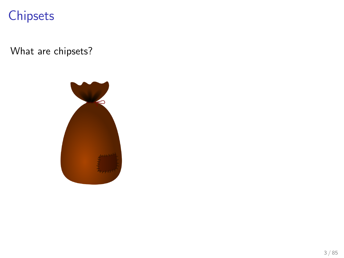What are chipsets?

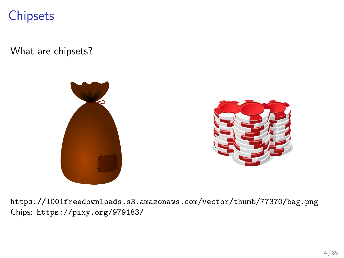What are chipsets?



<https://1001freedownloads.s3.amazonaws.com/vector/thumb/77370/bag.png> Chips: <https://pixy.org/979183/>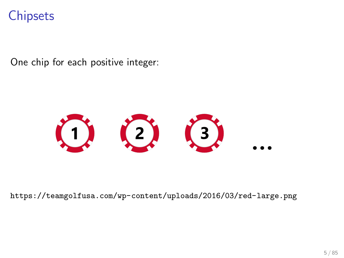One chip for each positive integer:



<https://teamgolfusa.com/wp-content/uploads/2016/03/red-large.png>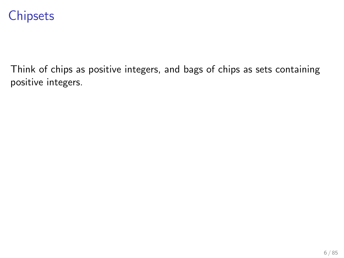Think of chips as positive integers, and bags of chips as sets containing positive integers.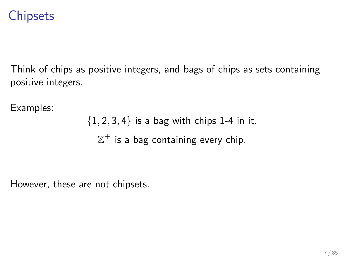Think of chips as positive integers, and bags of chips as sets containing positive integers.

Examples:

 ${1, 2, 3, 4}$  is a bag with chips 1-4 in it.  $\mathbb{Z}^{+}$  is a bag containing every chip.

However, these are not chipsets.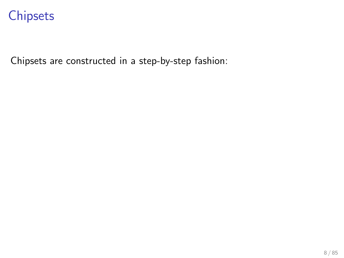Chipsets are constructed in a step-by-step fashion: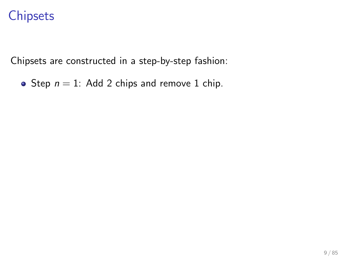Chipsets are constructed in a step-by-step fashion:

• Step  $n = 1$ : Add 2 chips and remove 1 chip.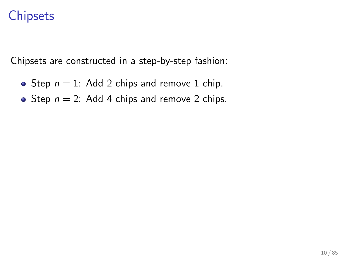Chipsets are constructed in a step-by-step fashion:

- Step  $n = 1$ : Add 2 chips and remove 1 chip.
- Step  $n = 2$ : Add 4 chips and remove 2 chips.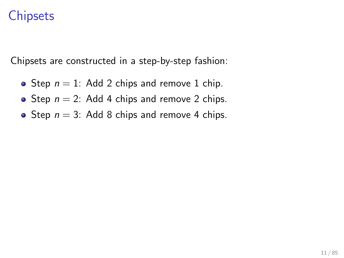Chipsets are constructed in a step-by-step fashion:

- Step  $n = 1$ : Add 2 chips and remove 1 chip.
- Step  $n = 2$ : Add 4 chips and remove 2 chips.
- Step  $n = 3$ : Add 8 chips and remove 4 chips.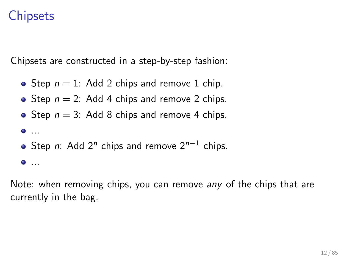Chipsets are constructed in a step-by-step fashion:

- Step  $n = 1$ : Add 2 chips and remove 1 chip.
- Step  $n = 2$ : Add 4 chips and remove 2 chips.
- Step  $n = 3$ : Add 8 chips and remove 4 chips.

```
\bullet ...
```
Step n: Add 2<sup>n</sup> chips and remove 2<sup>n−1</sup> chips.

 $\bullet$  ...

Note: when removing chips, you can remove any of the chips that are currently in the bag.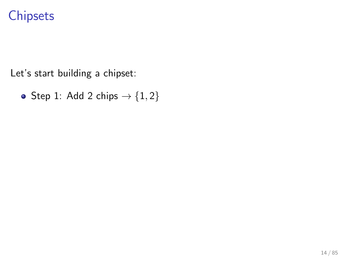Let's start building a chipset:

• Step 1: Add 2 chips  $\rightarrow$  {1,2}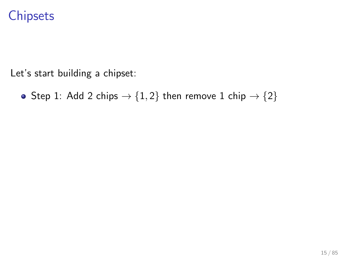Let's start building a chipset:

• Step 1: Add 2 chips  $\rightarrow$  {1, 2} then remove 1 chip  $\rightarrow$  {2}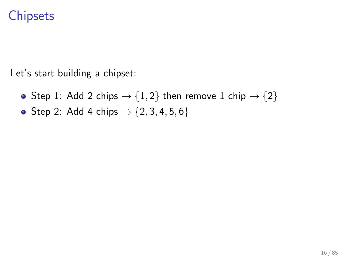- Step 1: Add 2 chips  $\rightarrow$  {1, 2} then remove 1 chip  $\rightarrow$  {2}
- Step 2: Add 4 chips  $\rightarrow$  {2, 3, 4, 5, 6}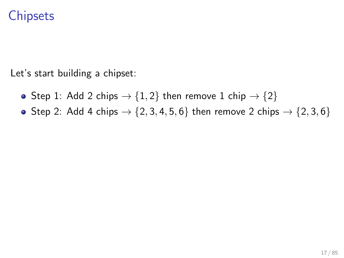- Step 1: Add 2 chips  $\rightarrow$  {1, 2} then remove 1 chip  $\rightarrow$  {2}
- Step 2: Add 4 chips  $\rightarrow$  {2, 3, 4, 5, 6} then remove 2 chips  $\rightarrow$  {2, 3, 6}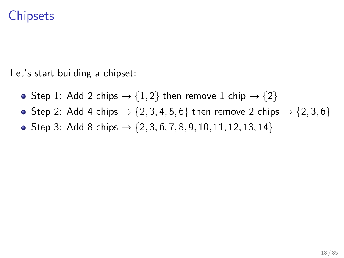- Step 1: Add 2 chips  $\rightarrow$  {1, 2} then remove 1 chip  $\rightarrow$  {2}
- Step 2: Add 4 chips  $\rightarrow$  {2, 3, 4, 5, 6} then remove 2 chips  $\rightarrow$  {2, 3, 6}
- Step 3: Add 8 chips  $\rightarrow \{2, 3, 6, 7, 8, 9, 10, 11, 12, 13, 14\}$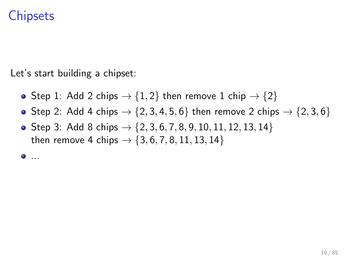Let's start building a chipset:

- Step 1: Add 2 chips  $\rightarrow$  {1, 2} then remove 1 chip  $\rightarrow$  {2}
- Step 2: Add 4 chips  $\rightarrow$  {2, 3, 4, 5, 6} then remove 2 chips  $\rightarrow$  {2, 3, 6}
- Step 3: Add 8 chips  $\rightarrow$  {2, 3, 6, 7, 8, 9, 10, 11, 12, 13, 14} then remove 4 chips  $\rightarrow \{3, 6, 7, 8, 11, 13, 14\}$

...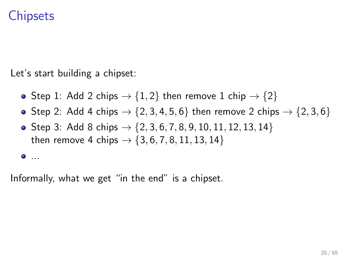Let's start building a chipset:

- Step 1: Add 2 chips  $\rightarrow$  {1, 2} then remove 1 chip  $\rightarrow$  {2}
- Step 2: Add 4 chips  $\rightarrow$  {2, 3, 4, 5, 6} then remove 2 chips  $\rightarrow$  {2, 3, 6}
- Step 3: Add 8 chips  $\rightarrow \{2, 3, 6, 7, 8, 9, 10, 11, 12, 13, 14\}$ then remove 4 chips  $\rightarrow \{3, 6, 7, 8, 11, 13, 14\}$

...

Informally, what we get "in the end" is a chipset.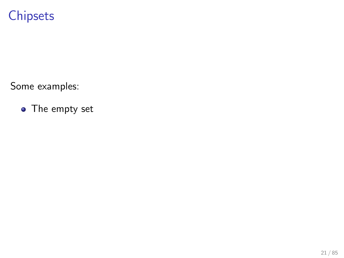Some examples:

• The empty set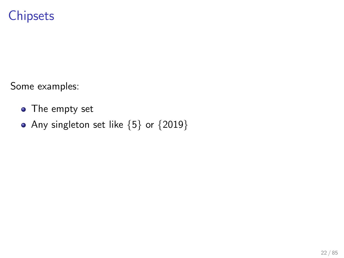Some examples:

- The empty set
- Any singleton set like  ${5}$  or  ${2019}$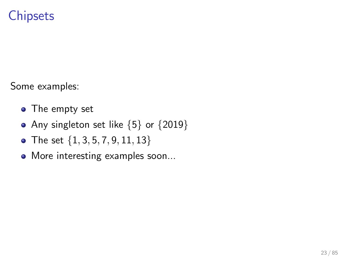Some examples:

- The empty set
- Any singleton set like  ${5}$  or  ${2019}$
- The set  $\{1, 3, 5, 7, 9, 11, 13\}$
- More interesting examples soon...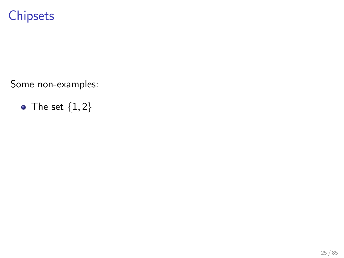Some non-examples:

• The set  $\{1,2\}$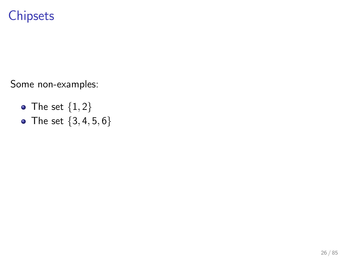- The set  $\{1,2\}$
- The set  $\{3, 4, 5, 6\}$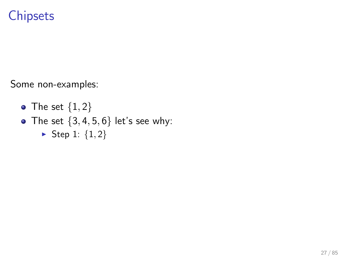- The set  $\{1,2\}$
- The set  $\{3, 4, 5, 6\}$  let's see why:
	- ▶ Step 1:  ${1, 2}$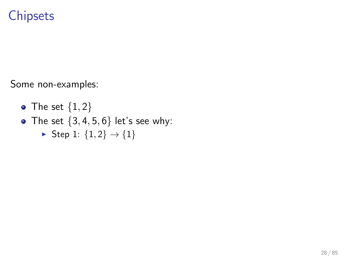- The set  $\{1,2\}$
- The set  $\{3, 4, 5, 6\}$  let's see why:
	- ► Step 1:  ${1, 2}$  →  ${1}$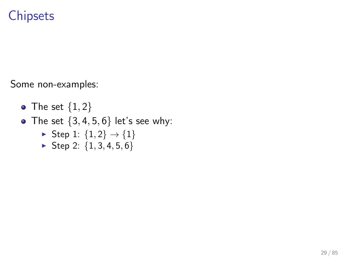- The set  $\{1,2\}$
- The set  $\{3, 4, 5, 6\}$  let's see why:
	- ► Step 1:  ${1, 2}$  →  ${1}$
	- $\triangleright$  Step 2: {1, 3, 4, 5, 6}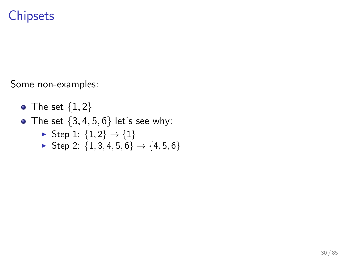- The set  $\{1,2\}$
- The set  $\{3, 4, 5, 6\}$  let's see why:
	- ► Step 1:  ${1, 2}$  →  ${1}$
	- ► Step 2:  ${1, 3, 4, 5, 6}$   $\rightarrow$   ${4, 5, 6}$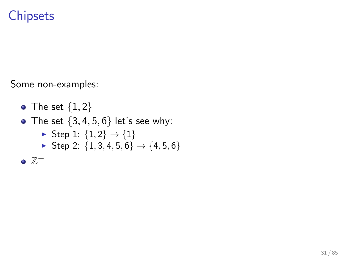\n- The set 
$$
\{1, 2\}
$$
\n- The set  $\{3, 4, 5, 6\}$  let's see why:\n
	\n- Step 1:  $\{1, 2\} \rightarrow \{1\}$
	\n- Step 2:  $\{1, 3, 4, 5, 6\} \rightarrow \{4, 5, 6\}$
	\n\n
\n- $\mathbb{Z}^+$
\n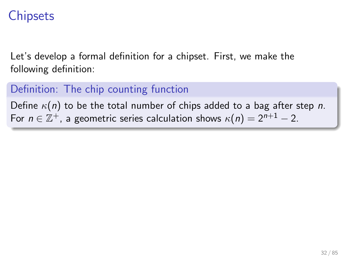Let's develop a formal definition for a chipset. First, we make the following definition:

#### Definition: The chip counting function

Define  $\kappa(n)$  to be the total number of chips added to a bag after step n. For  $n \in \mathbb{Z}^+$ , a geometric series calculation shows  $\kappa(n) = 2^{n+1} - 2$ .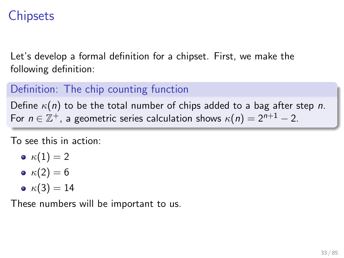Let's develop a formal definition for a chipset. First, we make the following definition:

#### Definition: The chip counting function

Define  $\kappa(n)$  to be the total number of chips added to a bag after step n. For  $n \in \mathbb{Z}^+$ , a geometric series calculation shows  $\kappa(n) = 2^{n+1} - 2$ .

To see this in action:

$$
\bullet\ \kappa(1)=2
$$

$$
\bullet \ \kappa(2)=6
$$

$$
\bullet\ \kappa(3)=14
$$

These numbers will be important to us.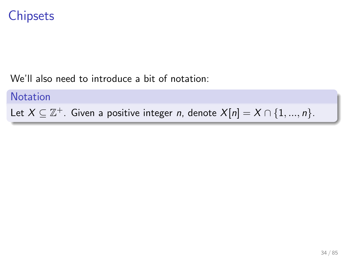We'll also need to introduce a bit of notation:

**Notation** Let  $X \subseteq \mathbb{Z}^+$ . Given a positive integer n, denote  $X[n] = X \cap \{1, ..., n\}$ .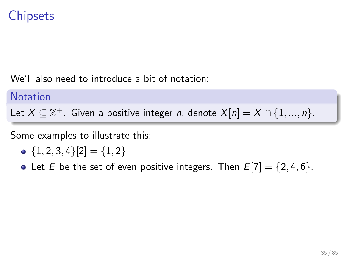We'll also need to introduce a bit of notation:

**Notation** Let  $X \subseteq \mathbb{Z}^+$ . Given a positive integer n, denote  $X[n] = X \cap \{1, ..., n\}$ .

Some examples to illustrate this:

$$
\bullet \hspace{.14cm} \{1,2,3,4\}[2] = \{1,2\}
$$

• Let *E* be the set of even positive integers. Then  $E[7] = \{2, 4, 6\}$ .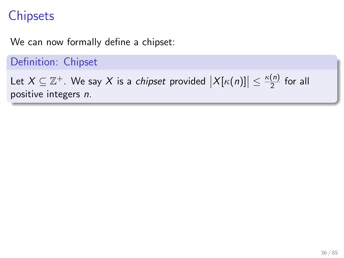We can now formally define a chipset:

Definition: Chipset

Let  $X \subseteq \mathbb{Z}^+$ . We say X is a *chipset* provided  $\big|X[\kappa(n)]\big| \leq \frac{\kappa(n)}{2}$  $\frac{\binom{n}{2}}{2}$  for all positive integers n.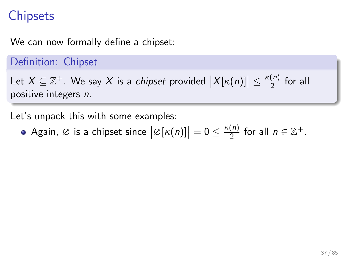We can now formally define a chipset:

Definition: Chipset

Let  $X \subseteq \mathbb{Z}^+$ . We say X is a *chipset* provided  $\big|X[\kappa(n)]\big| \leq \frac{\kappa(n)}{2}$  $\frac{\binom{n}{2}}{2}$  for all positive integers n.

Let's unpack this with some examples:

Again,  $\emptyset$  is a chipset since  $\big|\varnothing[\kappa(n)]\big|=0\leq \frac{\kappa(n)}{2}$  $\frac{(n)}{2}$  for all  $n \in \mathbb{Z}^+$ .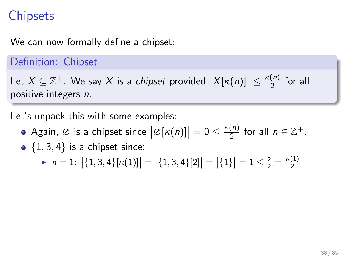We can now formally define a chipset:

#### Definition: Chipset

Let  $X \subseteq \mathbb{Z}^+$ . We say X is a *chipset* provided  $\big|X[\kappa(n)]\big| \leq \frac{\kappa(n)}{2}$  $\frac{\binom{n}{2}}{2}$  for all positive integers n.

Let's unpack this with some examples:

- Again,  $\emptyset$  is a chipset since  $\big|\varnothing[\kappa(n)]\big|=0\leq \frac{\kappa(n)}{2}$  $\frac{(n)}{2}$  for all  $n \in \mathbb{Z}^+$ .
- $\bullet$  {1, 3, 4} is a chipset since:

 $\blacktriangleright$   $n = 1: |\{1, 3, 4\}[\kappa(1)]| = |\{1, 3, 4\}[2]| = |\{1\}| = 1 \le \frac{2}{2} = \frac{\kappa(1)}{2}$ 2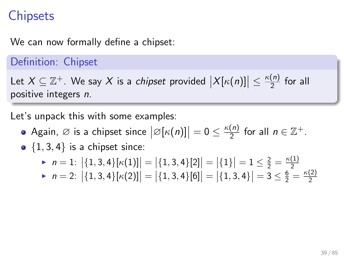We can now formally define a chipset:

#### Definition: Chipset

Let  $X \subseteq \mathbb{Z}^+$ . We say X is a *chipset* provided  $\big|X[\kappa(n)]\big| \leq \frac{\kappa(n)}{2}$  $\frac{\binom{n}{2}}{2}$  for all positive integers n.

Let's unpack this with some examples:

- Again,  $\emptyset$  is a chipset since  $\big|\varnothing[\kappa(n)]\big|=0\leq \frac{\kappa(n)}{2}$  $\frac{(n)}{2}$  for all  $n \in \mathbb{Z}^+$ .
- $\bullet$  {1, 3, 4} is a chipset since:

$$
\triangleright n = 1: \left| \{1, 3, 4\} [\kappa(1)] \right| = \left| \{1, 3, 4\} [2] \right| = \left| \{1\} \right| = 1 \le \frac{2}{2} = \frac{\kappa(1)}{2}
$$

 $\blacktriangleright$   $n = 2: |\{1, 3, 4\}[\kappa(2)]| = |\{1, 3, 4\}[6]| = |\{1, 3, 4\}| = 3 \leq \frac{6}{2} = \frac{\kappa(2)}{2}$ 2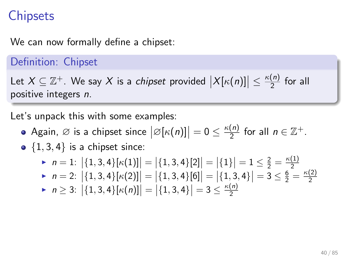We can now formally define a chipset:

#### Definition: Chipset

Let  $X \subseteq \mathbb{Z}^+$ . We say X is a *chipset* provided  $\big|X[\kappa(n)]\big| \leq \frac{\kappa(n)}{2}$  $\frac{\binom{n}{2}}{2}$  for all positive integers n.

Let's unpack this with some examples:

- Again,  $\emptyset$  is a chipset since  $\big|\varnothing[\kappa(n)]\big|=0\leq \frac{\kappa(n)}{2}$  $\frac{(n)}{2}$  for all  $n \in \mathbb{Z}^+$ .
- $\bullet$  {1, 3, 4} is a chipset since:

► 
$$
n = 1
$$
:  $|\{1, 3, 4\}[\kappa(1)]| = |\{1, 3, 4\}[2]| = |\{1\}| = 1 \le \frac{2}{2} = \frac{\kappa(1)}{2}$   
\n►  $n = 2$ :  $|\{1, 3, 4\}[\kappa(2)]| = |\{1, 3, 4\}[6]| = |\{1, 3, 4\}| = 3 \le \frac{6}{2} = \frac{\kappa(2)}{2}$ 

 $\blacktriangleright$   $n \geq 3$ :  $|\{1,3,4\}[\kappa(n)]| = |\{1,3,4\}| = 3 \leq \frac{\kappa(n)}{2}$ 2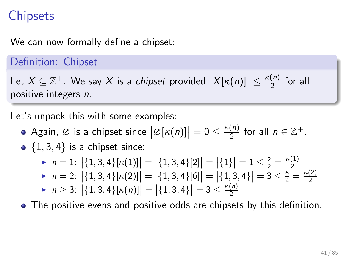We can now formally define a chipset:

#### Definition: Chipset

Let  $X \subseteq \mathbb{Z}^+$ . We say X is a *chipset* provided  $\big|X[\kappa(n)]\big| \leq \frac{\kappa(n)}{2}$  $\frac{\binom{n}{2}}{2}$  for all positive integers n.

Let's unpack this with some examples:

- Again,  $\emptyset$  is a chipset since  $\big|\varnothing[\kappa(n)]\big|=0\leq \frac{\kappa(n)}{2}$  $\frac{(n)}{2}$  for all  $n \in \mathbb{Z}^+$ .
- $\bullet$  {1, 3, 4} is a chipset since:

$$
\triangleright n = 1: |\{1, 3, 4\}[\kappa(1)]| = |\{1, 3, 4\}[2]| = |\{1\}| = 1 \le \frac{2}{2} = \frac{\kappa(1)}{2}
$$

- $\triangleright$   $n = 2:$   $\left| \{1,3,4\}[\kappa(2)] \right| = \left| \{1,3,4\}[\![6]\!] = \left| \{1,3,4\} \right| = \}$  = 3 ≤  $\frac{6}{2} = \frac{\kappa(2)}{2}$ 2
- $\blacktriangleright$   $n \geq 3$ :  $|\{1,3,4\}[\kappa(n)]| = |\{1,3,4\}| = 3 \leq \frac{\kappa(n)}{2}$ 2

The positive evens and positive odds are chipsets by this definition.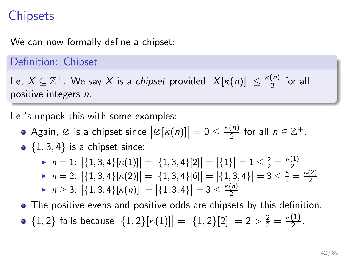We can now formally define a chipset:

#### Definition: Chipset

Let  $X \subseteq \mathbb{Z}^+$ . We say X is a *chipset* provided  $\big|X[\kappa(n)]\big| \leq \frac{\kappa(n)}{2}$  $\frac{\binom{n}{2}}{2}$  for all positive integers n.

Let's unpack this with some examples:

- Again,  $\emptyset$  is a chipset since  $\big|\varnothing[\kappa(n)]\big|=0\leq \frac{\kappa(n)}{2}$  $\frac{(n)}{2}$  for all  $n \in \mathbb{Z}^+$ .
- $\bullet$  {1, 3, 4} is a chipset since:

$$
\triangleright n = 1: |\{1, 3, 4\}[\kappa(1)]| = |\{1, 3, 4\}[2]| = |\{1\}| = 1 \le \frac{2}{2} = \frac{\kappa(1)}{2}
$$

- $\triangleright$   $n = 2:$   $\left| \{1,3,4\}[\kappa(2)] \right| = \left| \{1,3,4\}[\![6]\!] = \left| \{1,3,4\} \right| = \}$  = 3 ≤  $\frac{6}{2} = \frac{\kappa(2)}{2}$ 2
- $\blacktriangleright$   $n \geq 3$ :  $|\{1,3,4\}[\kappa(n)]| = |\{1,3,4\}| = 3 \leq \frac{\kappa(n)}{2}$ 2
- The positive evens and positive odds are chipsets by this definition.  $\{1,2\}$  fails because  $\big|\{1,2\}[\kappa(1)]\big| = \big|\{1,2\}[2]\big| = 2 > \frac{2}{2} = \frac{\kappa(1)}{2}$  $\frac{(1)}{2}$ .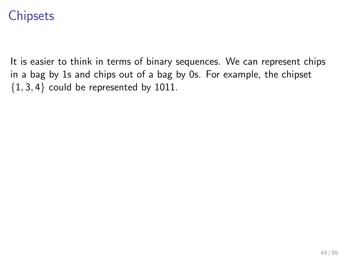It is easier to think in terms of binary sequences. We can represent chips in a bag by 1s and chips out of a bag by 0s. For example, the chipset  ${1, 3, 4}$  could be represented by 1011.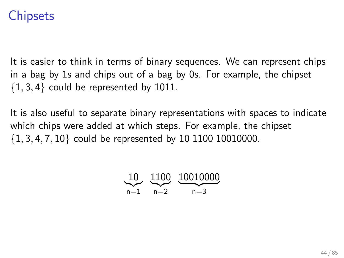It is easier to think in terms of binary sequences. We can represent chips in a bag by 1s and chips out of a bag by 0s. For example, the chipset  ${1, 3, 4}$  could be represented by 1011.

It is also useful to separate binary representations with spaces to indicate which chips were added at which steps. For example, the chipset  $\{1, 3, 4, 7, 10\}$  could be represented by 10 1100 10010000.

$$
\underbrace{10}_{n=1} \quad \underbrace{1100}_{n=2} \quad \underbrace{10010000}_{n=3}
$$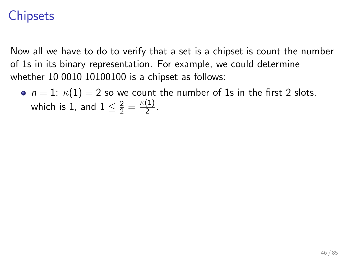Now all we have to do to verify that a set is a chipset is count the number of 1s in its binary representation. For example, we could determine whether 10 0010 10100100 is a chipset as follows:

•  $n = 1$ :  $\kappa(1) = 2$  so we count the number of 1s in the first 2 slots, which is 1, and  $1 \leq \frac{2}{2} = \frac{\kappa(1)}{2}$  $\frac{(1)}{2}$ .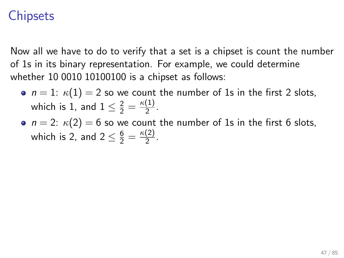- $n = 1$ :  $\kappa(1) = 2$  so we count the number of 1s in the first 2 slots, which is 1, and  $1 \leq \frac{2}{2} = \frac{\kappa(1)}{2}$  $\frac{(1)}{2}$ .
- $n = 2$ :  $\kappa(2) = 6$  so we count the number of 1s in the first 6 slots, which is 2, and  $2 \leq \frac{6}{2} = \frac{\kappa(2)}{2}$  $\frac{2}{2}$ .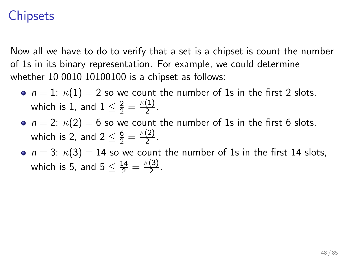- $n = 1$ :  $\kappa(1) = 2$  so we count the number of 1s in the first 2 slots, which is 1, and  $1 \leq \frac{2}{2} = \frac{\kappa(1)}{2}$  $\frac{(1)}{2}$ .
- $n = 2$ :  $\kappa(2) = 6$  so we count the number of 1s in the first 6 slots, which is 2, and  $2 \leq \frac{6}{2} = \frac{\kappa(2)}{2}$  $\frac{2}{2}$ .
- $n = 3$ :  $\kappa(3) = 14$  so we count the number of 1s in the first 14 slots, which is 5, and  $5 \leq \frac{14}{2} = \frac{\kappa(3)}{2}$  $\frac{(3)}{2}$ .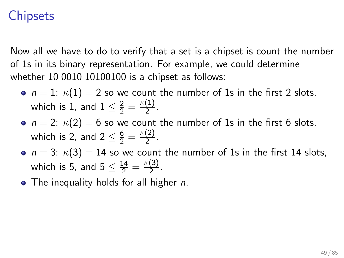- $n = 1$ :  $\kappa(1) = 2$  so we count the number of 1s in the first 2 slots, which is 1, and  $1 \leq \frac{2}{2} = \frac{\kappa(1)}{2}$  $\frac{(1)}{2}$ .
- $n = 2$ :  $\kappa(2) = 6$  so we count the number of 1s in the first 6 slots, which is 2, and  $2 \leq \frac{6}{2} = \frac{\kappa(2)}{2}$  $\frac{2}{2}$ .
- $n = 3$ :  $\kappa(3) = 14$  so we count the number of 1s in the first 14 slots, which is 5, and  $5 \leq \frac{14}{2} = \frac{\kappa(3)}{2}$  $\frac{(3)}{2}$ .
- $\bullet$  The inequality holds for all higher *n*.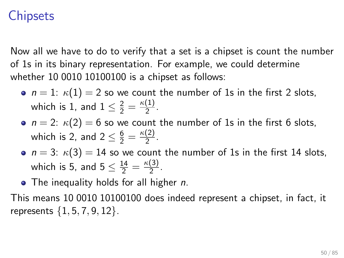Now all we have to do to verify that a set is a chipset is count the number of 1s in its binary representation. For example, we could determine whether 10 0010 10100100 is a chipset as follows:

- $n = 1$ :  $\kappa(1) = 2$  so we count the number of 1s in the first 2 slots, which is 1, and  $1 \leq \frac{2}{2} = \frac{\kappa(1)}{2}$  $\frac{(1)}{2}$ .
- $n = 2$ :  $\kappa(2) = 6$  so we count the number of 1s in the first 6 slots, which is 2, and  $2 \leq \frac{6}{2} = \frac{\kappa(2)}{2}$  $\frac{2}{2}$ .
- $n = 3$ :  $\kappa(3) = 14$  so we count the number of 1s in the first 14 slots, which is 5, and  $5 \leq \frac{14}{2} = \frac{\kappa(3)}{2}$  $\frac{(3)}{2}$ .

• The inequality holds for all higher *n*.

This means 10 0010 10100100 does indeed represent a chipset, in fact, it represents  $\{1, 5, 7, 9, 12\}$ .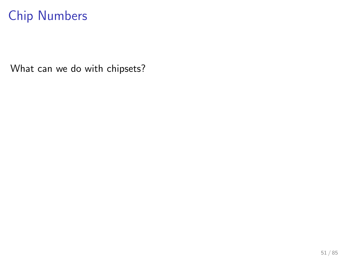What can we do with chipsets?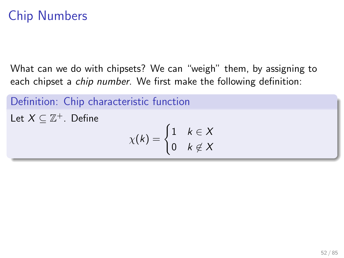What can we do with chipsets? We can "weigh" them, by assigning to each chipset a *chip number*. We first make the following definition:

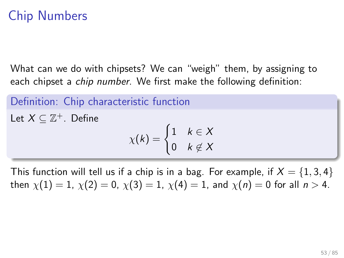What can we do with chipsets? We can "weigh" them, by assigning to each chipset a chip number. We first make the following definition:

Definition: Chip characteristic function Let  $X \subseteq \mathbb{Z}^+$ . Define  $\chi(k) = \begin{cases} 1 & k \in \mathcal{X} \\ 0 & k \in \mathcal{X} \end{cases}$ 0  $k \not\in X$ 

This function will tell us if a chip is in a bag. For example, if  $X = \{1, 3, 4\}$ then  $\chi(1) = 1$ ,  $\chi(2) = 0$ ,  $\chi(3) = 1$ ,  $\chi(4) = 1$ , and  $\chi(n) = 0$  for all  $n > 4$ .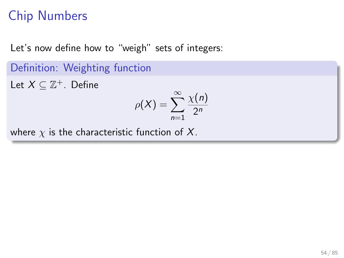Let's now define how to "weigh" sets of integers:

 $n=1$ 

Definition: Weighting function Let  $X \subseteq \mathbb{Z}^+$ . Define  $\rho(X) = \sum_{n=0}^{\infty}$  $\chi(n)$  $2<sup>n</sup>$ 

where  $\chi$  is the characteristic function of X.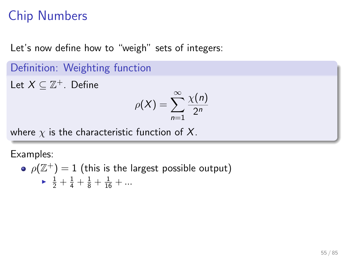Let's now define how to "weigh" sets of integers:

Definition: Weighting function

Let  $X \subseteq \mathbb{Z}^+$ . Define

$$
\rho(X) = \sum_{n=1}^{\infty} \frac{\chi(n)}{2^n}
$$

where  $\chi$  is the characteristic function of X.

Examples:

\n- $$
\rho(\mathbb{Z}^+)=1
$$
 (this is the largest possible output)
\n- $\frac{1}{2} + \frac{1}{4} + \frac{1}{8} + \frac{1}{16} + \dots$
\n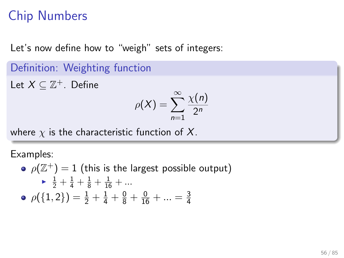Let's now define how to "weigh" sets of integers:

Definition: Weighting function

Let  $X \subseteq \mathbb{Z}^+$ . Define

$$
\rho(X) = \sum_{n=1}^{\infty} \frac{\chi(n)}{2^n}
$$

where  $\chi$  is the characteristic function of X.

Examples:

\n- • 
$$
\rho(\mathbb{Z}^+) = 1
$$
 (this is the largest possible output)
\n- •  $\frac{1}{2} + \frac{1}{4} + \frac{1}{8} + \frac{1}{16} + \dots$
\n- •  $\rho(\{1, 2\}) = \frac{1}{2} + \frac{1}{4} + \frac{0}{8} + \frac{0}{16} + \dots = \frac{3}{4}$
\n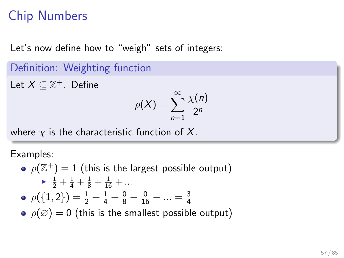Let's now define how to "weigh" sets of integers:

Definition: Weighting function

Let  $X \subseteq \mathbb{Z}^+$ . Define

$$
\rho(X) = \sum_{n=1}^{\infty} \frac{\chi(n)}{2^n}
$$

where  $\chi$  is the characteristic function of X.

Examples:

 $\rho(\Z^+) = 1$  (this is the largest possible output)  $\longrightarrow$   $\frac{1}{2} + \frac{1}{4} + \frac{1}{8} + \frac{1}{16} + \dots$  $\rho(\{1,2\}) = \frac{1}{2} + \frac{1}{4} + \frac{0}{8} + \frac{0}{16} + \ldots = \frac{3}{4}$ 4 •  $\rho(\emptyset) = 0$  (this is the smallest possible output)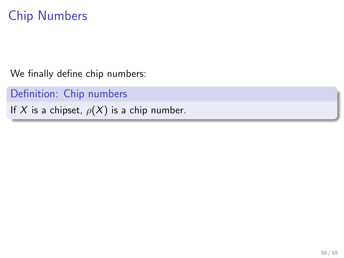We finally define chip numbers:

Definition: Chip numbers

If X is a chipset,  $\rho(X)$  is a chip number.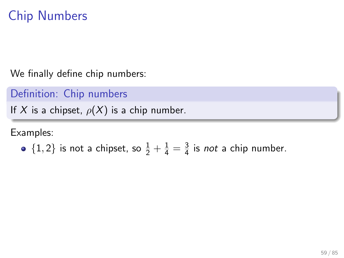We finally define chip numbers:

Definition: Chip numbers

If X is a chipset,  $\rho(X)$  is a chip number.

Examples:

• 
$$
\{1,2\}
$$
 is not a chipset, so  $\frac{1}{2} + \frac{1}{4} = \frac{3}{4}$  is *not* a chip number.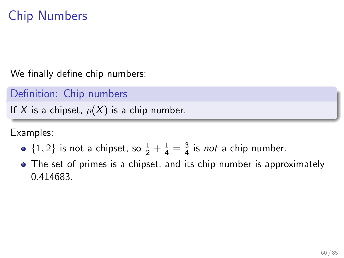We finally define chip numbers:

Definition: Chip numbers

If X is a chipset,  $\rho(X)$  is a chip number.

Examples:

- $\{1, 2\}$  is not a chipset, so  $\frac{1}{2} + \frac{1}{4} = \frac{3}{4}$  $\frac{3}{4}$  is *not* a chip number.
- The set of primes is a chipset, and its chip number is approximately 0.414683.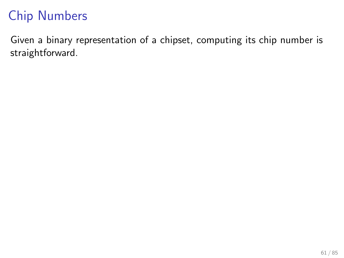Given a binary representation of a chipset, computing its chip number is straightforward.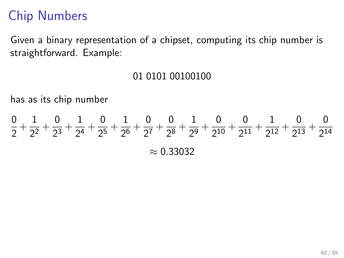Given a binary representation of a chipset, computing its chip number is straightforward. Example:

#### 01 0101 00100100

has as its chip number

$$
\frac{0}{2} + \frac{1}{2^2} + \frac{0}{2^3} + \frac{1}{2^4} + \frac{0}{2^5} + \frac{1}{2^6} + \frac{0}{2^7} + \frac{0}{2^8} + \frac{1}{2^9} + \frac{0}{2^{10}} + \frac{0}{2^{11}} + \frac{1}{2^{12}} + \frac{0}{2^{13}} + \frac{0}{2^{14}}
$$

$$
\approx 0.33032
$$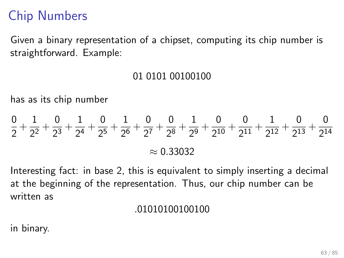Given a binary representation of a chipset, computing its chip number is straightforward. Example:

#### 01 0101 00100100

has as its chip number

$$
\frac{0}{2} + \frac{1}{2^2} + \frac{0}{2^3} + \frac{1}{2^4} + \frac{0}{2^5} + \frac{1}{2^6} + \frac{0}{2^7} + \frac{0}{2^8} + \frac{1}{2^9} + \frac{0}{2^{10}} + \frac{0}{2^{11}} + \frac{1}{2^{12}} + \frac{0}{2^{13}} + \frac{0}{2^{14}}
$$

$$
\approx 0.33032
$$

Interesting fact: in base 2, this is equivalent to simply inserting a decimal at the beginning of the representation. Thus, our chip number can be written as

#### .01010100100100

in binary.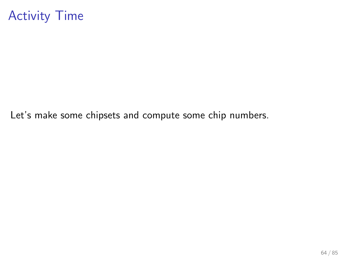### Activity Time

Let's make some chipsets and compute some chip numbers.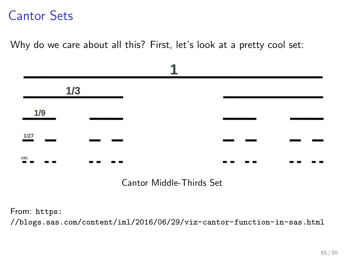Why do we care about all this? First, let's look at a pretty cool set:



Cantor Middle-Thirds Set

From: [https:](https://blogs.sas.com/content/iml/2016/06/29/viz-cantor-function-in-sas.html) [//blogs.sas.com/content/iml/2016/06/29/viz-cantor-function-in-sas.html](https://blogs.sas.com/content/iml/2016/06/29/viz-cantor-function-in-sas.html)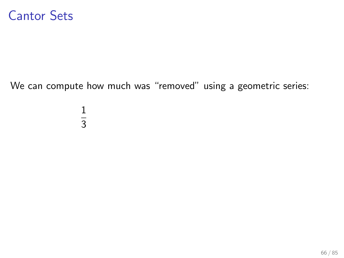We can compute how much was "removed" using a geometric series:

1 3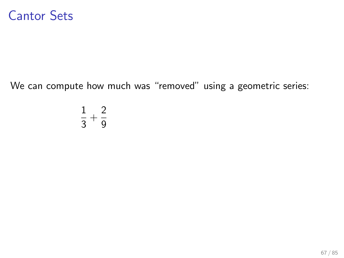We can compute how much was "removed" using a geometric series:

$$
\frac{1}{3}+\frac{2}{9}
$$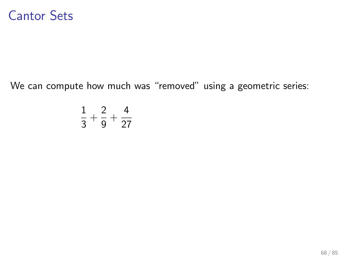We can compute how much was "removed" using a geometric series:

$$
\frac{1}{3} + \frac{2}{9} + \frac{4}{27}
$$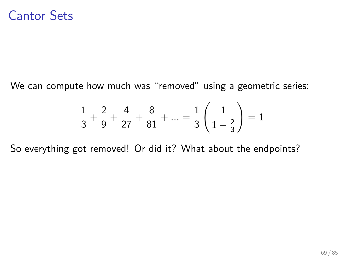We can compute how much was "removed" using a geometric series:

$$
\frac{1}{3} + \frac{2}{9} + \frac{4}{27} + \frac{8}{81} + \dots = \frac{1}{3} \left( \frac{1}{1 - \frac{2}{3}} \right) = 1
$$

So everything got removed! Or did it? What about the endpoints?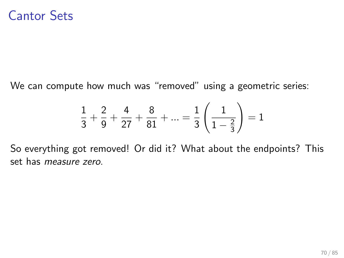We can compute how much was "removed" using a geometric series:

$$
\frac{1}{3} + \frac{2}{9} + \frac{4}{27} + \frac{8}{81} + \dots = \frac{1}{3} \left( \frac{1}{1 - \frac{2}{3}} \right) = 1
$$

So everything got removed! Or did it? What about the endpoints? This set has measure zero.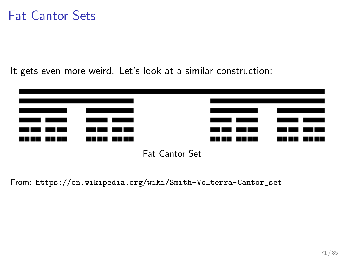#### Fat Cantor Sets

It gets even more weird. Let's look at a similar construction:



From: [https://en.wikipedia.org/wiki/Smith-Volterra-Cantor\\_set](https://en.wikipedia.org/wiki/Smith-Volterra-Cantor_set)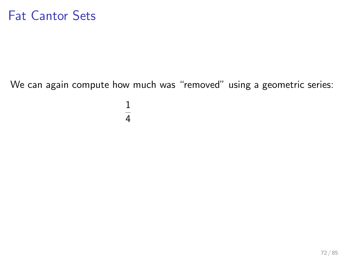#### Fat Cantor Sets

We can again compute how much was "removed" using a geometric series:

1 4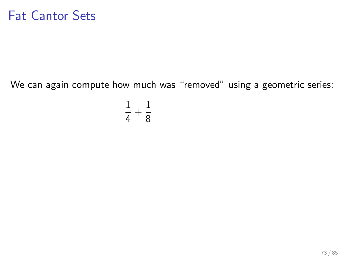#### Fat Cantor Sets

We can again compute how much was "removed" using a geometric series:

$$
\frac{1}{4}+\frac{1}{8}
$$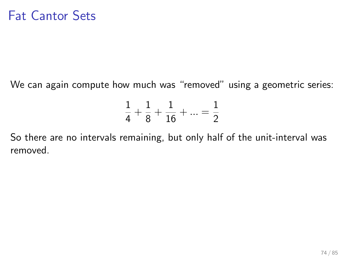We can again compute how much was "removed" using a geometric series:

$$
\frac{1}{4} + \frac{1}{8} + \frac{1}{16} + \dots = \frac{1}{2}
$$

So there are no intervals remaining, but only half of the unit-interval was removed.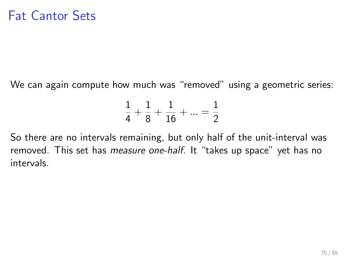We can again compute how much was "removed" using a geometric series:

$$
\frac{1}{4} + \frac{1}{8} + \frac{1}{16} + \dots = \frac{1}{2}
$$

So there are no intervals remaining, but only half of the unit-interval was removed. This set has *measure one-half*. It "takes up space" yet has no intervals.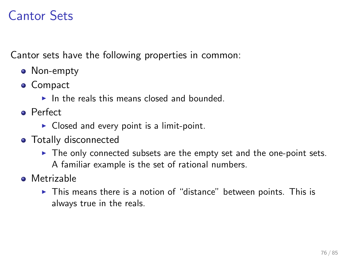# Cantor Sets

Cantor sets have the following properties in common:

- Non-empty
- Compact
	- $\blacktriangleright$  In the reals this means closed and bounded.
- **•** Perfect
	- $\triangleright$  Closed and every point is a limit-point.
- **o** Totally disconnected
	- $\blacktriangleright$  The only connected subsets are the empty set and the one-point sets. A familiar example is the set of rational numbers.
- **•** Metrizable
	- $\triangleright$  This means there is a notion of "distance" between points. This is always true in the reals.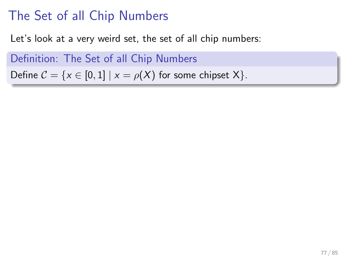Let's look at a very weird set, the set of all chip numbers:

Definition: The Set of all Chip Numbers Define  $C = \{x \in [0,1] \mid x = \rho(X) \text{ for some chipset } X\}.$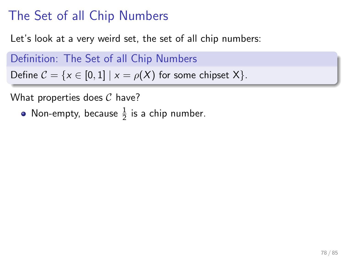Let's look at a very weird set, the set of all chip numbers:

Definition: The Set of all Chip Numbers Define  $C = \{x \in [0,1] \mid x = \rho(X) \text{ for some chipset } X\}.$ 

What properties does  $C$  have?

Non-empty, because  $\frac{1}{2}$  is a chip number.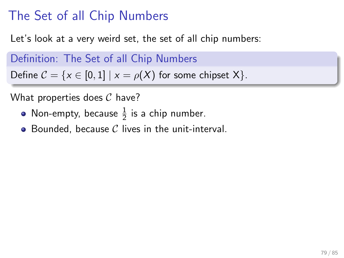Let's look at a very weird set, the set of all chip numbers:

Definition: The Set of all Chip Numbers

Define  $C = \{x \in [0,1] \mid x = \rho(X) \text{ for some chipset } X\}.$ 

- Non-empty, because  $\frac{1}{2}$  is a chip number.
- $\bullet$  Bounded, because C lives in the unit-interval.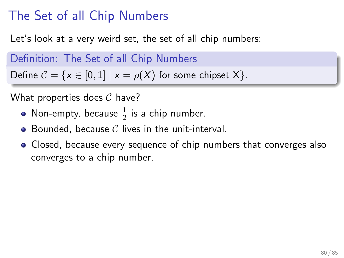Let's look at a very weird set, the set of all chip numbers:

Definition: The Set of all Chip Numbers

Define  $C = \{x \in [0,1] \mid x = \rho(X) \text{ for some chipset } X\}.$ 

- Non-empty, because  $\frac{1}{2}$  is a chip number.
- $\bullet$  Bounded, because C lives in the unit-interval.
- Closed, because every sequence of chip numbers that converges also converges to a chip number.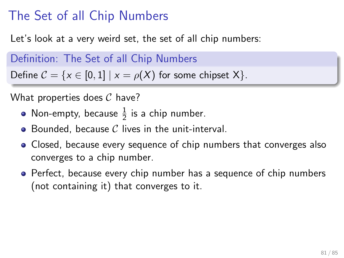Let's look at a very weird set, the set of all chip numbers:

Definition: The Set of all Chip Numbers

Define  $C = \{x \in [0,1] \mid x = \rho(X) \text{ for some chipset } X\}.$ 

- Non-empty, because  $\frac{1}{2}$  is a chip number.
- $\bullet$  Bounded, because C lives in the unit-interval.
- Closed, because every sequence of chip numbers that converges also converges to a chip number.
- Perfect, because every chip number has a sequence of chip numbers (not containing it) that converges to it.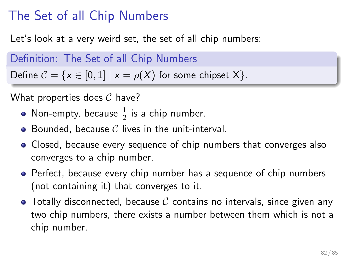Let's look at a very weird set, the set of all chip numbers:

Definition: The Set of all Chip Numbers

Define  $C = \{x \in [0,1] \mid x = \rho(X) \text{ for some chipset } X\}.$ 

- Non-empty, because  $\frac{1}{2}$  is a chip number.
- $\bullet$  Bounded, because C lives in the unit-interval.
- Closed, because every sequence of chip numbers that converges also converges to a chip number.
- Perfect, because every chip number has a sequence of chip numbers (not containing it) that converges to it.
- $\bullet$  Totally disconnected, because C contains no intervals, since given any two chip numbers, there exists a number between them which is not a chip number.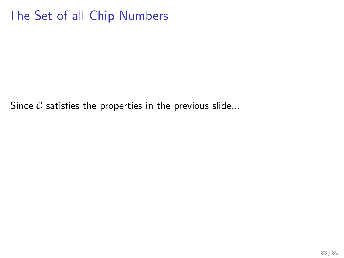Since  $C$  satisfies the properties in the previous slide...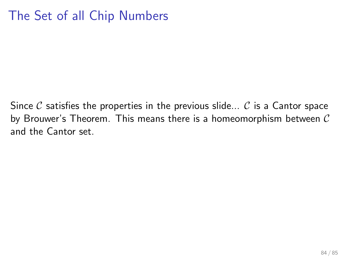Since C satisfies the properties in the previous slide... C is a Cantor space by Brouwer's Theorem. This means there is a homeomorphism between  $\mathcal C$ and the Cantor set.